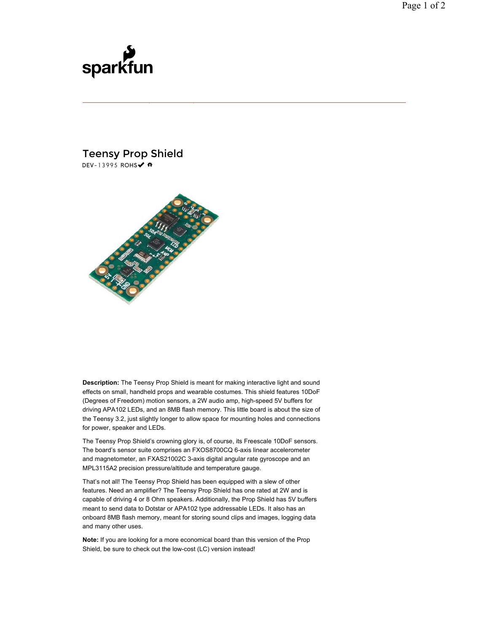## sparkfun

## Teensy Prop Shield DEV-13995 ROHS√ #



**Description:** The Teensy Prop Shield is meant for making interactive light and sound effects on small, handheld props and wearable costumes. This shield features 10DoF (Degrees of Freedom) motion sensors, a 2W audio amp, high-speed 5V buffers for driving APA102 LEDs, and an 8MB flash memory. This little board is about the size of the Teensy 3.2, just slightly longer to allow space for mounting holes and connections for power, speaker and LEDs.

The Teensy Prop Shield's crowning glory is, of course, its Freescale 10DoF sensors. The board's sensor suite comprises an FXOS8700CQ 6-axis linear accelerometer and magnetometer, an FXAS21002C 3-axis digital angular rate gyroscope and an MPL3115A2 precision pressure/altitude and temperature gauge.

That's not all! The Teensy Prop Shield has been equipped with a slew of other features. Need an amplifier? The Teensy Prop Shield has one rated at 2W and is capable of driving 4 or 8 Ohm speakers. Additionally, the Prop Shield has 5V buffers meant to send data to Dotstar or APA102 type addressable LEDs. It also has an onboard 8MB flash memory, meant for storing sound clips and images, logging data and many other uses.

**Note:** If you are looking for a more economical board than this version of the Prop Shield, be sure to check out the low-cost (LC) version instead!